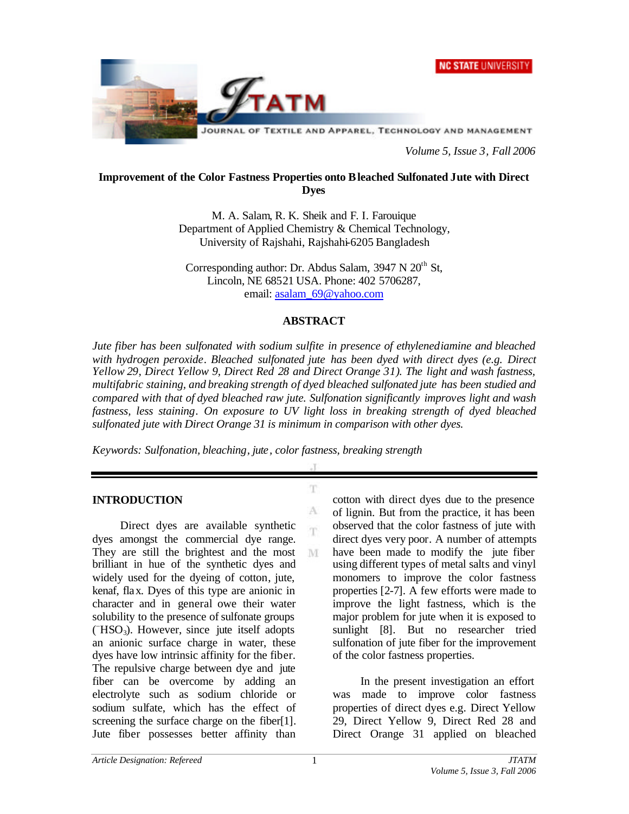



*Volume 5, Issue 3, Fall 2006*

#### **Improvement of the Color Fastness Properties onto Bleached Sulfonated Jute with Direct Dyes**

M. A. Salam, R. K. Sheik and F. I. Farouique Department of Applied Chemistry & Chemical Technology, University of Rajshahi, Rajshahi-6205 Bangladesh

Corresponding author: Dr. Abdus Salam,  $3947$  N  $20<sup>th</sup>$  St, Lincoln, NE 68521 USA. Phone: 402 5706287, email: asalam\_69@yahoo.com

#### **ABSTRACT**

*Jute fiber has been sulfonated with sodium sulfite in presence of ethylenediamine and bleached with hydrogen peroxide. Bleached sulfonated jute has been dyed with direct dyes (e.g. Direct Yellow 29, Direct Yellow 9, Direct Red 28 and Direct Orange 31). The light and wash fastness, multifabric staining, and breaking strength of dyed bleached sulfonated jute has been studied and compared with that of dyed bleached raw jute. Sulfonation significantly improves light and wash fastness, less staining. On exposure to UV light loss in breaking strength of dyed bleached sulfonated jute with Direct Orange 31 is minimum in comparison with other dyes.*

T.

A 'n

M

*Keywords: Sulfonation, bleaching, jute, color fastness, breaking strength*

### **INTRODUCTION**

Direct dyes are available synthetic dyes amongst the commercial dye range. They are still the brightest and the most brilliant in hue of the synthetic dyes and widely used for the dyeing of cotton, jute, kenaf, flax. Dyes of this type are anionic in character and in general owe their water solubility to the presence of sulfonate groups ( –HSO3). However, since jute itself adopts an anionic surface charge in water, these dyes have low intrinsic affinity for the fiber. The repulsive charge between dye and jute fiber can be overcome by adding an electrolyte such as sodium chloride or sodium sulfate, which has the effect of screening the surface charge on the fiber[1]. Jute fiber possesses better affinity than

cotton with direct dyes due to the presence of lignin. But from the practice, it has been observed that the color fastness of jute with direct dyes very poor. A number of attempts have been made to modify the jute fiber using different types of metal salts and vinyl monomers to improve the color fastness properties [2-7]. A few efforts were made to improve the light fastness, which is the major problem for jute when it is exposed to sunlight [8]. But no researcher tried sulfonation of jute fiber for the improvement of the color fastness properties.

In the present investigation an effort was made to improve color fastness properties of direct dyes e.g. Direct Yellow 29, Direct Yellow 9, Direct Red 28 and Direct Orange 31 applied on bleached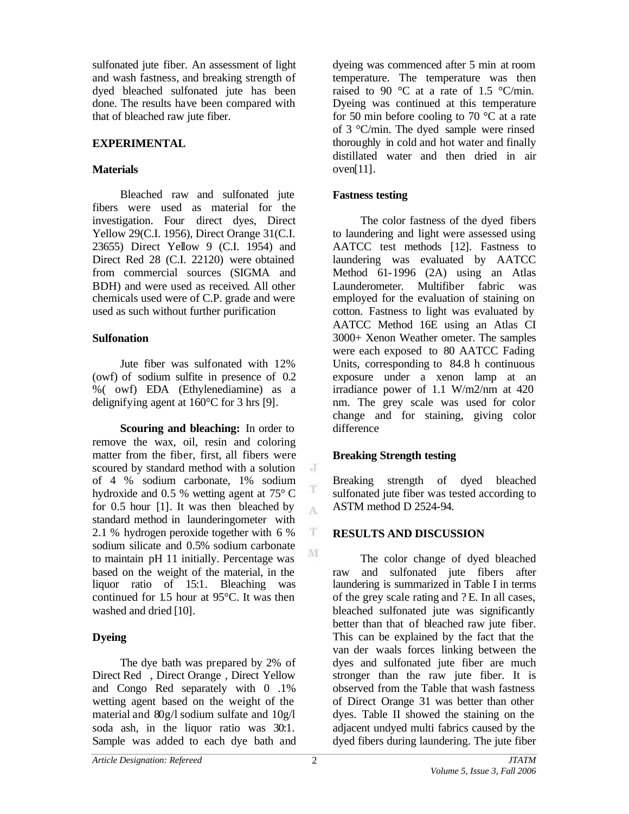sulfonated jute fiber. An assessment of light and wash fastness, and breaking strength of dyed bleached sulfonated jute has been done. The results have been compared with that of bleached raw jute fiber.

### **EXPERIMENTAL**

### **Materials**

Bleached raw and sulfonated jute fibers were used as material for the investigation. Four direct dyes, Direct Yellow 29(C.I. 1956), Direct Orange 31(C.I. 23655) Direct Yellow 9 (C.I. 1954) and Direct Red 28 (C.I. 22120) were obtained from commercial sources (SIGMA and BDH) and were used as received. All other chemicals used were of C.P. grade and were used as such without further purification

## **Sulfonation**

Jute fiber was sulfonated with 12% (owf) of sodium sulfite in presence of 0.2 %( owf) EDA (Ethylenediamine) as a delignifying agent at 160°C for 3 hrs [9].

**Scouring and bleaching:** In order to remove the wax, oil, resin and coloring matter from the fiber, first, all fibers were scoured by standard method with a solution of 4 % sodium carbonate, 1% sodium hydroxide and 0.5 % wetting agent at 75° C for 0.5 hour [1]. It was then bleached by standard method in launderingometer with 2.1 % hydrogen peroxide together with 6 % sodium silicate and 0.5% sodium carbonate to maintain pH 11 initially. Percentage was based on the weight of the material, in the liquor ratio of 15:1. Bleaching was continued for 1.5 hour at 95°C. It was then washed and dried [10].

## **Dyeing**

The dye bath was prepared by 2% of Direct Red , Direct Orange , Direct Yellow and Congo Red separately with 0 .1% wetting agent based on the weight of the material and 80g/l sodium sulfate and 10g/l soda ash, in the liquor ratio was 30:1. Sample was added to each dye bath and dyeing was commenced after 5 min at room temperature. The temperature was then raised to 90 °C at a rate of 1.5 °C/min. Dyeing was continued at this temperature for 50 min before cooling to 70  $\degree$ C at a rate of 3 °C/min. The dyed sample were rinsed thoroughly in cold and hot water and finally distillated water and then dried in air oven[11].

### **Fastness testing**

The color fastness of the dyed fibers to laundering and light were assessed using AATCC test methods [12]. Fastness to laundering was evaluated by AATCC Method 61-1996 (2A) using an Atlas Launderometer. Multifiber fabric was employed for the evaluation of staining on cotton. Fastness to light was evaluated by AATCC Method 16E using an Atlas CI 3000+ Xenon Weather ometer. The samples were each exposed to 80 AATCC Fading Units, corresponding to 84.8 h continuous exposure under a xenon lamp at an irradiance power of 1.1 W/m2/nm at 420 nm. The grey scale was used for color change and for staining, giving color difference

## **Breaking Strength testing**

Breaking strength of dyed bleached sulfonated jute fiber was tested according to ASTM method D 2524-94.

## **RESULTS AND DISCUSSION**

The color change of dyed bleached raw and sulfonated jute fibers after laundering is summarized in Table I in terms of the grey scale rating and ? E. In all cases, bleached sulfonated jute was significantly better than that of bleached raw jute fiber. This can be explained by the fact that the van der waals forces linking between the dyes and sulfonated jute fiber are much stronger than the raw jute fiber. It is observed from the Table that wash fastness of Direct Orange 31 was better than other dyes. Table II showed the staining on the adjacent undyed multi fabrics caused by the dyed fibers during laundering. The jute fiber

 $\cdot$  J

T A

T M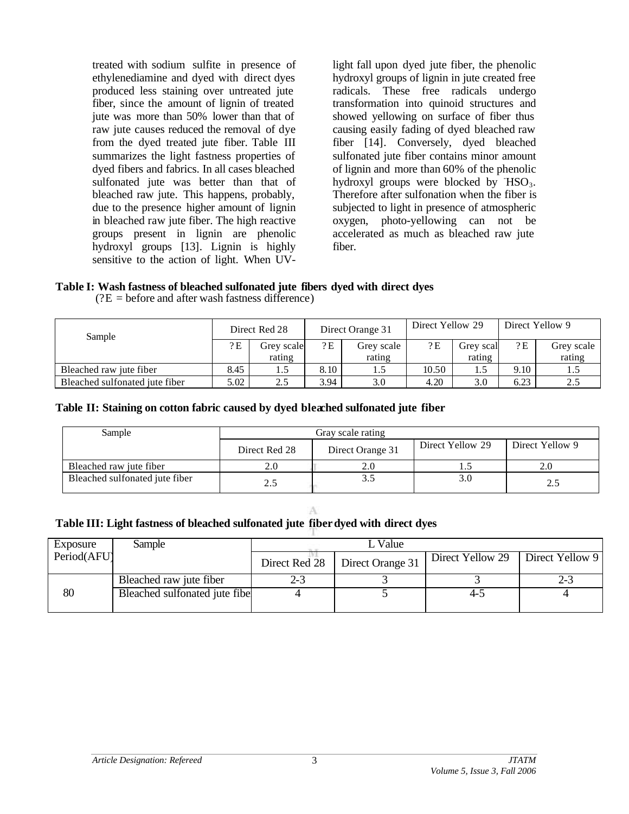treated with sodium sulfite in presence of ethylenediamine and dyed with direct dyes produced less staining over untreated jute fiber, since the amount of lignin of treated jute was more than 50% lower than that of raw jute causes reduced the removal of dye from the dyed treated jute fiber. Table III summarizes the light fastness properties of dyed fibers and fabrics. In all cases bleached sulfonated jute was better than that of bleached raw jute. This happens, probably, due to the presence higher amount of lignin in bleached raw jute fiber. The high reactive groups present in lignin are phenolic hydroxyl groups [13]. Lignin is highly sensitive to the action of light. When UV-

light fall upon dyed jute fiber, the phenolic hydroxyl groups of lignin in jute created free radicals. These free radicals undergo transformation into quinoid structures and showed yellowing on surface of fiber thus causing easily fading of dyed bleached raw fiber [14]. Conversely, dyed bleached sulfonated jute fiber contains minor amount of lignin and more than 60% of the phenolic hydroxyl groups were blocked by  $HSO_3$ . Therefore after sulfonation when the fiber is subjected to light in presence of atmospheric oxygen, photo-yellowing can not be accelerated as much as bleached raw jute fiber.

# **Table I: Wash fastness of bleached sulfonated jute fibers dyed with direct dyes**

| Sample                         | Direct Red 28 |            | Direct Orange 31 |            | Direct Yellow 29 |           | Direct Yellow 9 |            |
|--------------------------------|---------------|------------|------------------|------------|------------------|-----------|-----------------|------------|
|                                | 2E            | Grey scale | 2E               | Grey scale | 2E               | Grey scal | 2E              | Grey scale |
|                                |               | rating     |                  | rating     |                  | rating    |                 | rating     |
| Bleached raw jute fiber        | 8.45          |            | 8.10             | 1.5        | 10.50            | 1.5       | 9.10            |            |
| Bleached sulfonated jute fiber | 5.02          | 2.5        | 3.94             | 3.0        | 4.20             | 3.0       | 6.23            |            |

 $(?E = before and after wash fastness difference)$ 

#### **Table II: Staining on cotton fabric caused by dyed bleached sulfonated jute fiber**

| Sample                         | Gray scale rating |                  |                  |                 |  |  |
|--------------------------------|-------------------|------------------|------------------|-----------------|--|--|
|                                | Direct Red 28     | Direct Orange 31 | Direct Yellow 29 | Direct Yellow 9 |  |  |
| Bleached raw jute fiber        |                   | 2.0              |                  |                 |  |  |
| Bleached sulfonated jute fiber | 2.5               | 3.5              | 3.0              | 2.5             |  |  |

# **Table III: Light fastness of bleached sulfonated jute fiber dyed with direct dyes**

| Exposure    | Sample                        | Value         |                  |                  |                 |  |  |
|-------------|-------------------------------|---------------|------------------|------------------|-----------------|--|--|
| Period(AFU) |                               | Direct Red 28 | Direct Orange 31 | Direct Yellow 29 | Direct Yellow 9 |  |  |
|             | Bleached raw jute fiber       | 2-3           |                  |                  | 2-3             |  |  |
| 80          | Bleached sulfonated jute fibe |               |                  | 4-3              |                 |  |  |